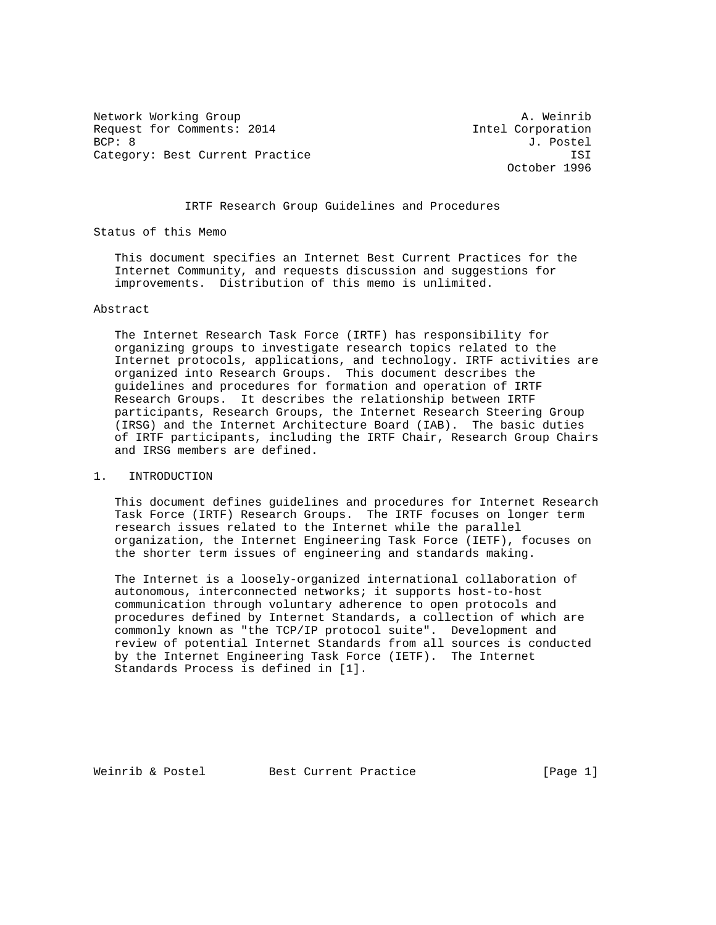Network Working Group **A. Weinrib** Request for Comments: 2014 11tel Corporation BCP: 8 J. Postel Category: Best Current Practice **ISI** 

October 1996

# IRTF Research Group Guidelines and Procedures

Status of this Memo

 This document specifies an Internet Best Current Practices for the Internet Community, and requests discussion and suggestions for improvements. Distribution of this memo is unlimited.

# Abstract

 The Internet Research Task Force (IRTF) has responsibility for organizing groups to investigate research topics related to the Internet protocols, applications, and technology. IRTF activities are organized into Research Groups. This document describes the guidelines and procedures for formation and operation of IRTF Research Groups. It describes the relationship between IRTF participants, Research Groups, the Internet Research Steering Group (IRSG) and the Internet Architecture Board (IAB). The basic duties of IRTF participants, including the IRTF Chair, Research Group Chairs and IRSG members are defined.

## 1. INTRODUCTION

 This document defines guidelines and procedures for Internet Research Task Force (IRTF) Research Groups. The IRTF focuses on longer term research issues related to the Internet while the parallel organization, the Internet Engineering Task Force (IETF), focuses on the shorter term issues of engineering and standards making.

 The Internet is a loosely-organized international collaboration of autonomous, interconnected networks; it supports host-to-host communication through voluntary adherence to open protocols and procedures defined by Internet Standards, a collection of which are commonly known as "the TCP/IP protocol suite". Development and review of potential Internet Standards from all sources is conducted by the Internet Engineering Task Force (IETF). The Internet Standards Process is defined in [1].

Weinrib & Postel Best Current Practice [Page 1]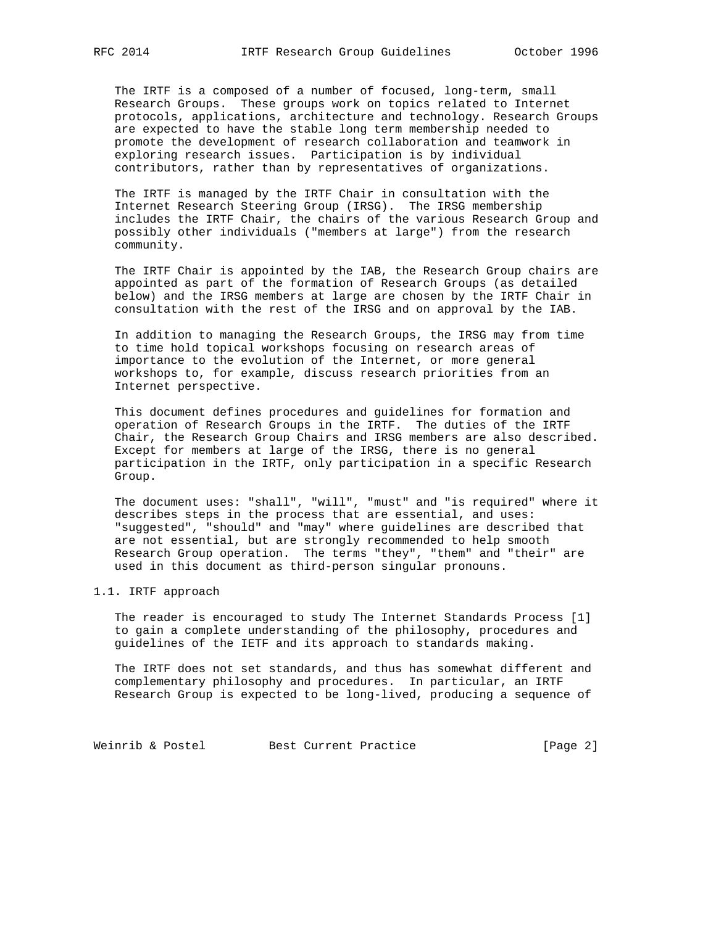The IRTF is a composed of a number of focused, long-term, small Research Groups. These groups work on topics related to Internet protocols, applications, architecture and technology. Research Groups are expected to have the stable long term membership needed to promote the development of research collaboration and teamwork in exploring research issues. Participation is by individual contributors, rather than by representatives of organizations.

 The IRTF is managed by the IRTF Chair in consultation with the Internet Research Steering Group (IRSG). The IRSG membership includes the IRTF Chair, the chairs of the various Research Group and possibly other individuals ("members at large") from the research community.

 The IRTF Chair is appointed by the IAB, the Research Group chairs are appointed as part of the formation of Research Groups (as detailed below) and the IRSG members at large are chosen by the IRTF Chair in consultation with the rest of the IRSG and on approval by the IAB.

 In addition to managing the Research Groups, the IRSG may from time to time hold topical workshops focusing on research areas of importance to the evolution of the Internet, or more general workshops to, for example, discuss research priorities from an Internet perspective.

 This document defines procedures and guidelines for formation and operation of Research Groups in the IRTF. The duties of the IRTF Chair, the Research Group Chairs and IRSG members are also described. Except for members at large of the IRSG, there is no general participation in the IRTF, only participation in a specific Research Group.

 The document uses: "shall", "will", "must" and "is required" where it describes steps in the process that are essential, and uses: "suggested", "should" and "may" where guidelines are described that are not essential, but are strongly recommended to help smooth Research Group operation. The terms "they", "them" and "their" are used in this document as third-person singular pronouns.

## 1.1. IRTF approach

 The reader is encouraged to study The Internet Standards Process [1] to gain a complete understanding of the philosophy, procedures and guidelines of the IETF and its approach to standards making.

 The IRTF does not set standards, and thus has somewhat different and complementary philosophy and procedures. In particular, an IRTF Research Group is expected to be long-lived, producing a sequence of

Weinrib & Postel Best Current Practice [Page 2]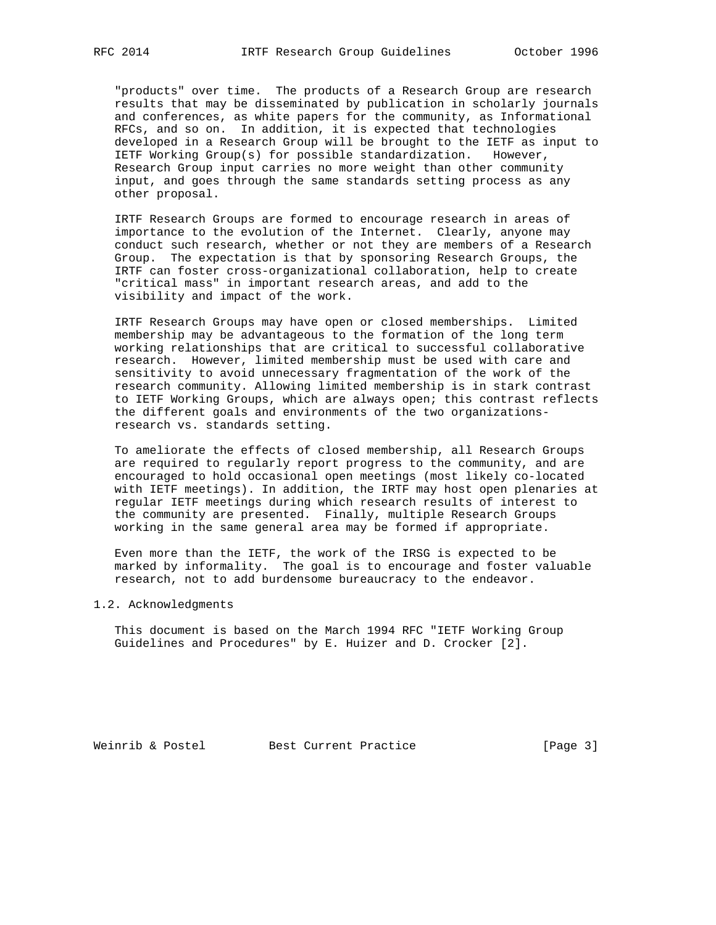"products" over time. The products of a Research Group are research results that may be disseminated by publication in scholarly journals and conferences, as white papers for the community, as Informational RFCs, and so on. In addition, it is expected that technologies developed in a Research Group will be brought to the IETF as input to IETF Working Group(s) for possible standardization. However, Research Group input carries no more weight than other community input, and goes through the same standards setting process as any other proposal.

 IRTF Research Groups are formed to encourage research in areas of importance to the evolution of the Internet. Clearly, anyone may conduct such research, whether or not they are members of a Research Group. The expectation is that by sponsoring Research Groups, the IRTF can foster cross-organizational collaboration, help to create "critical mass" in important research areas, and add to the visibility and impact of the work.

 IRTF Research Groups may have open or closed memberships. Limited membership may be advantageous to the formation of the long term working relationships that are critical to successful collaborative research. However, limited membership must be used with care and sensitivity to avoid unnecessary fragmentation of the work of the research community. Allowing limited membership is in stark contrast to IETF Working Groups, which are always open; this contrast reflects the different goals and environments of the two organizations research vs. standards setting.

 To ameliorate the effects of closed membership, all Research Groups are required to regularly report progress to the community, and are encouraged to hold occasional open meetings (most likely co-located with IETF meetings). In addition, the IRTF may host open plenaries at regular IETF meetings during which research results of interest to the community are presented. Finally, multiple Research Groups working in the same general area may be formed if appropriate.

 Even more than the IETF, the work of the IRSG is expected to be marked by informality. The goal is to encourage and foster valuable research, not to add burdensome bureaucracy to the endeavor.

# 1.2. Acknowledgments

 This document is based on the March 1994 RFC "IETF Working Group Guidelines and Procedures" by E. Huizer and D. Crocker [2].

Weinrib & Postel Best Current Practice [Page 3]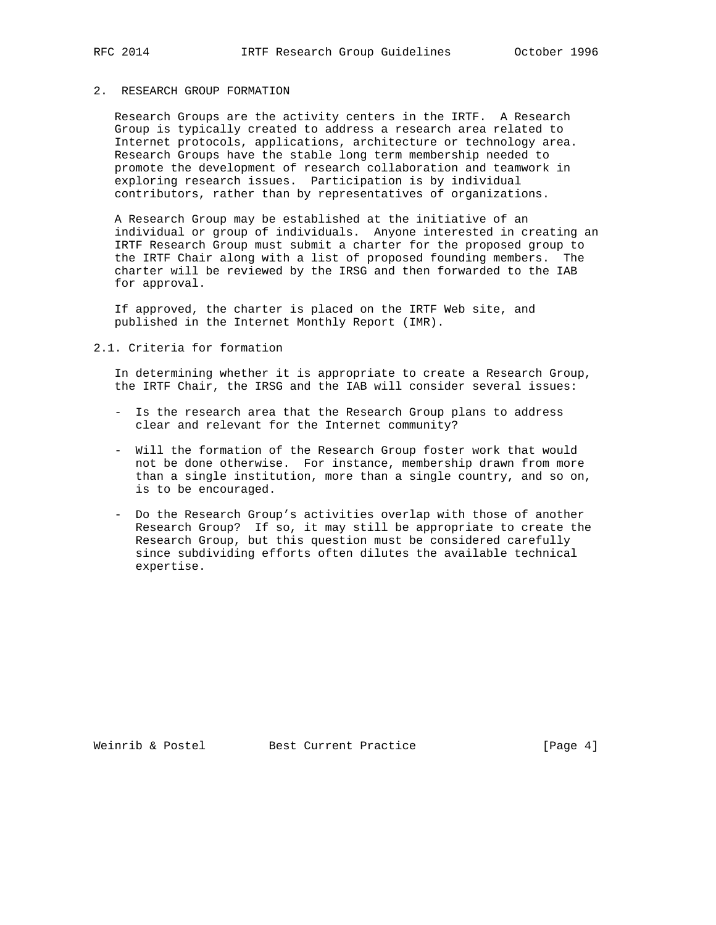# 2. RESEARCH GROUP FORMATION

 Research Groups are the activity centers in the IRTF. A Research Group is typically created to address a research area related to Internet protocols, applications, architecture or technology area. Research Groups have the stable long term membership needed to promote the development of research collaboration and teamwork in exploring research issues. Participation is by individual contributors, rather than by representatives of organizations.

 A Research Group may be established at the initiative of an individual or group of individuals. Anyone interested in creating an IRTF Research Group must submit a charter for the proposed group to the IRTF Chair along with a list of proposed founding members. The charter will be reviewed by the IRSG and then forwarded to the IAB for approval.

 If approved, the charter is placed on the IRTF Web site, and published in the Internet Monthly Report (IMR).

2.1. Criteria for formation

 In determining whether it is appropriate to create a Research Group, the IRTF Chair, the IRSG and the IAB will consider several issues:

- Is the research area that the Research Group plans to address clear and relevant for the Internet community?
- Will the formation of the Research Group foster work that would not be done otherwise. For instance, membership drawn from more than a single institution, more than a single country, and so on, is to be encouraged.
- Do the Research Group's activities overlap with those of another Research Group? If so, it may still be appropriate to create the Research Group, but this question must be considered carefully since subdividing efforts often dilutes the available technical expertise.

Weinrib & Postel Best Current Practice [Page 4]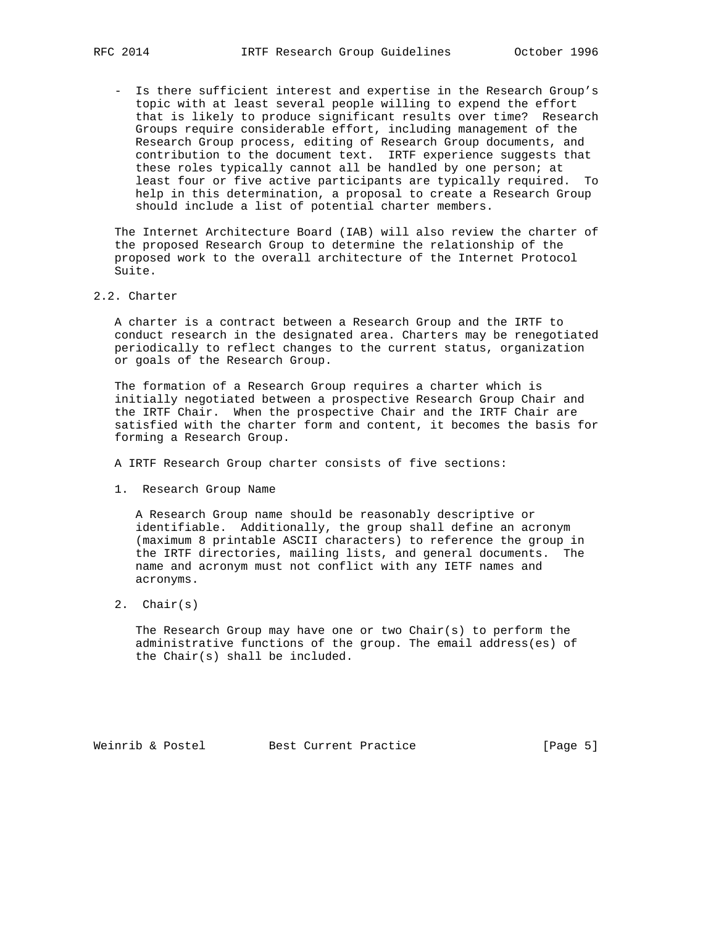- Is there sufficient interest and expertise in the Research Group's topic with at least several people willing to expend the effort that is likely to produce significant results over time? Research Groups require considerable effort, including management of the Research Group process, editing of Research Group documents, and contribution to the document text. IRTF experience suggests that these roles typically cannot all be handled by one person; at least four or five active participants are typically required. To help in this determination, a proposal to create a Research Group should include a list of potential charter members.

 The Internet Architecture Board (IAB) will also review the charter of the proposed Research Group to determine the relationship of the proposed work to the overall architecture of the Internet Protocol Suite.

2.2. Charter

 A charter is a contract between a Research Group and the IRTF to conduct research in the designated area. Charters may be renegotiated periodically to reflect changes to the current status, organization or goals of the Research Group.

 The formation of a Research Group requires a charter which is initially negotiated between a prospective Research Group Chair and the IRTF Chair. When the prospective Chair and the IRTF Chair are satisfied with the charter form and content, it becomes the basis for forming a Research Group.

A IRTF Research Group charter consists of five sections:

1. Research Group Name

 A Research Group name should be reasonably descriptive or identifiable. Additionally, the group shall define an acronym (maximum 8 printable ASCII characters) to reference the group in the IRTF directories, mailing lists, and general documents. The name and acronym must not conflict with any IETF names and acronyms.

2. Chair(s)

The Research Group may have one or two Chair(s) to perform the administrative functions of the group. The email address(es) of the Chair(s) shall be included.

Weinrib & Postel Best Current Practice [Page 5]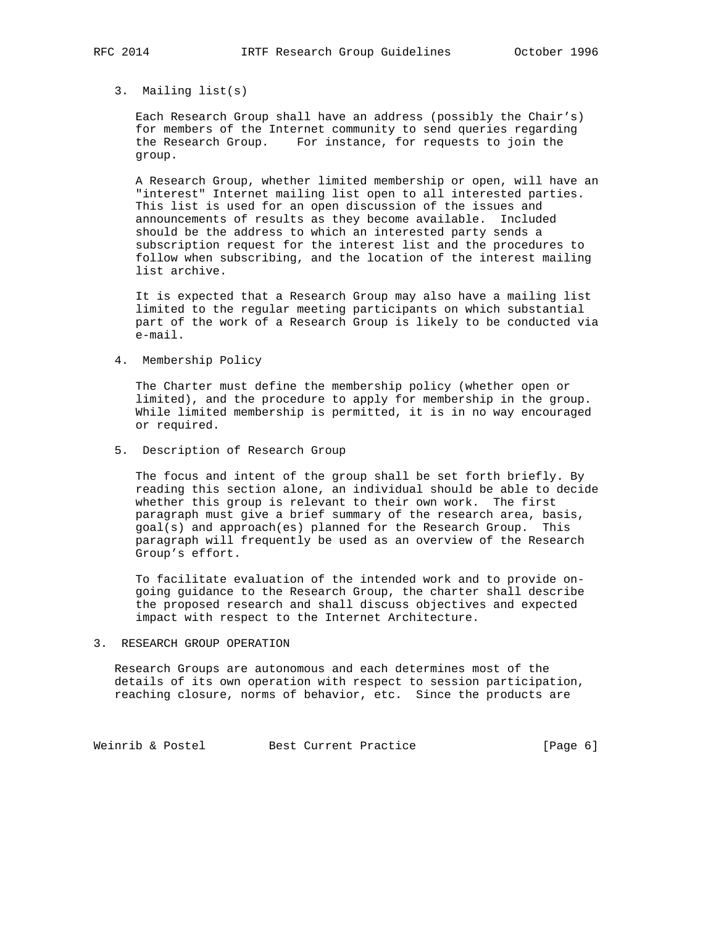3. Mailing list(s)

 Each Research Group shall have an address (possibly the Chair's) for members of the Internet community to send queries regarding the Research Group. For instance, for requests to join the group.

 A Research Group, whether limited membership or open, will have an "interest" Internet mailing list open to all interested parties. This list is used for an open discussion of the issues and announcements of results as they become available. Included should be the address to which an interested party sends a subscription request for the interest list and the procedures to follow when subscribing, and the location of the interest mailing list archive.

 It is expected that a Research Group may also have a mailing list limited to the regular meeting participants on which substantial part of the work of a Research Group is likely to be conducted via e-mail.

4. Membership Policy

 The Charter must define the membership policy (whether open or limited), and the procedure to apply for membership in the group. While limited membership is permitted, it is in no way encouraged or required.

5. Description of Research Group

 The focus and intent of the group shall be set forth briefly. By reading this section alone, an individual should be able to decide whether this group is relevant to their own work. The first paragraph must give a brief summary of the research area, basis, goal(s) and approach(es) planned for the Research Group. This paragraph will frequently be used as an overview of the Research Group's effort.

 To facilitate evaluation of the intended work and to provide on going guidance to the Research Group, the charter shall describe the proposed research and shall discuss objectives and expected impact with respect to the Internet Architecture.

3. RESEARCH GROUP OPERATION

 Research Groups are autonomous and each determines most of the details of its own operation with respect to session participation, reaching closure, norms of behavior, etc. Since the products are

Weinrib & Postel Best Current Practice [Page 6]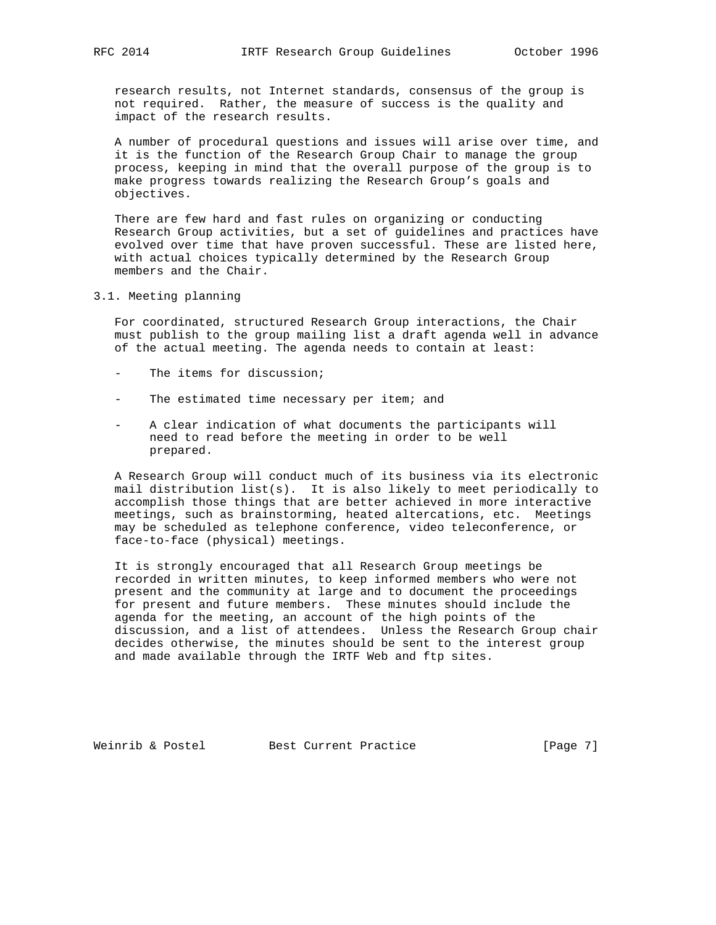research results, not Internet standards, consensus of the group is not required. Rather, the measure of success is the quality and impact of the research results.

 A number of procedural questions and issues will arise over time, and it is the function of the Research Group Chair to manage the group process, keeping in mind that the overall purpose of the group is to make progress towards realizing the Research Group's goals and objectives.

 There are few hard and fast rules on organizing or conducting Research Group activities, but a set of guidelines and practices have evolved over time that have proven successful. These are listed here, with actual choices typically determined by the Research Group members and the Chair.

3.1. Meeting planning

 For coordinated, structured Research Group interactions, the Chair must publish to the group mailing list a draft agenda well in advance of the actual meeting. The agenda needs to contain at least:

- The items for discussion;
- The estimated time necessary per item; and
- A clear indication of what documents the participants will need to read before the meeting in order to be well prepared.

 A Research Group will conduct much of its business via its electronic mail distribution list(s). It is also likely to meet periodically to accomplish those things that are better achieved in more interactive meetings, such as brainstorming, heated altercations, etc. Meetings may be scheduled as telephone conference, video teleconference, or face-to-face (physical) meetings.

 It is strongly encouraged that all Research Group meetings be recorded in written minutes, to keep informed members who were not present and the community at large and to document the proceedings for present and future members. These minutes should include the agenda for the meeting, an account of the high points of the discussion, and a list of attendees. Unless the Research Group chair decides otherwise, the minutes should be sent to the interest group and made available through the IRTF Web and ftp sites.

Weinrib & Postel Best Current Practice [Page 7]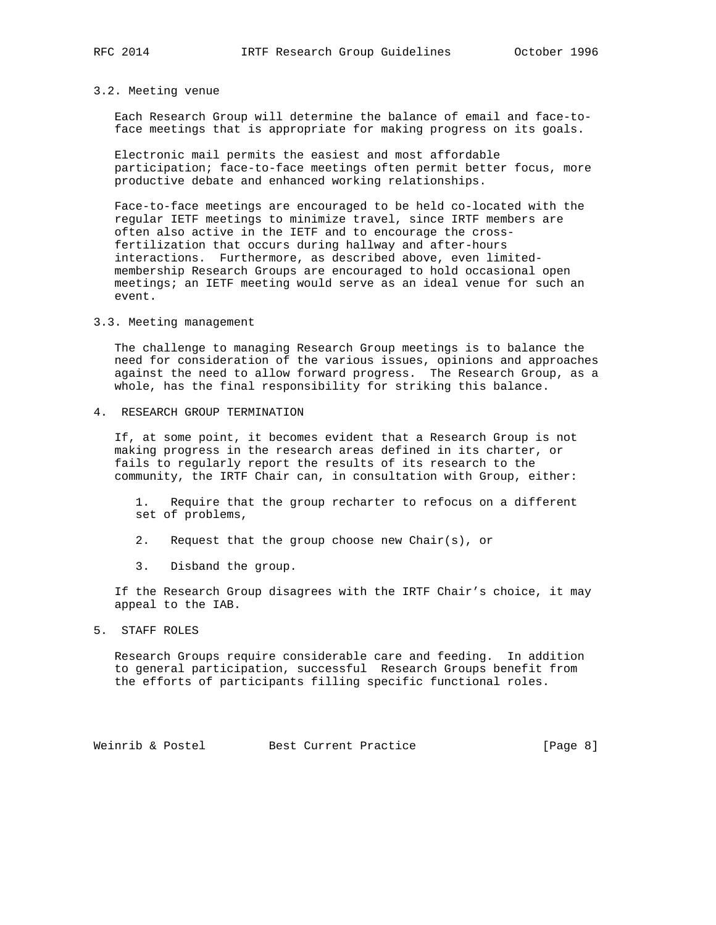# 3.2. Meeting venue

 Each Research Group will determine the balance of email and face-to face meetings that is appropriate for making progress on its goals.

 Electronic mail permits the easiest and most affordable participation; face-to-face meetings often permit better focus, more productive debate and enhanced working relationships.

 Face-to-face meetings are encouraged to be held co-located with the regular IETF meetings to minimize travel, since IRTF members are often also active in the IETF and to encourage the cross fertilization that occurs during hallway and after-hours interactions. Furthermore, as described above, even limited membership Research Groups are encouraged to hold occasional open meetings; an IETF meeting would serve as an ideal venue for such an event.

# 3.3. Meeting management

 The challenge to managing Research Group meetings is to balance the need for consideration of the various issues, opinions and approaches against the need to allow forward progress. The Research Group, as a whole, has the final responsibility for striking this balance.

4. RESEARCH GROUP TERMINATION

 If, at some point, it becomes evident that a Research Group is not making progress in the research areas defined in its charter, or fails to regularly report the results of its research to the community, the IRTF Chair can, in consultation with Group, either:

 1. Require that the group recharter to refocus on a different set of problems,

- 2. Request that the group choose new Chair(s), or
- 3. Disband the group.

 If the Research Group disagrees with the IRTF Chair's choice, it may appeal to the IAB.

# 5. STAFF ROLES

 Research Groups require considerable care and feeding. In addition to general participation, successful Research Groups benefit from the efforts of participants filling specific functional roles.

Weinrib & Postel Best Current Practice [Page 8]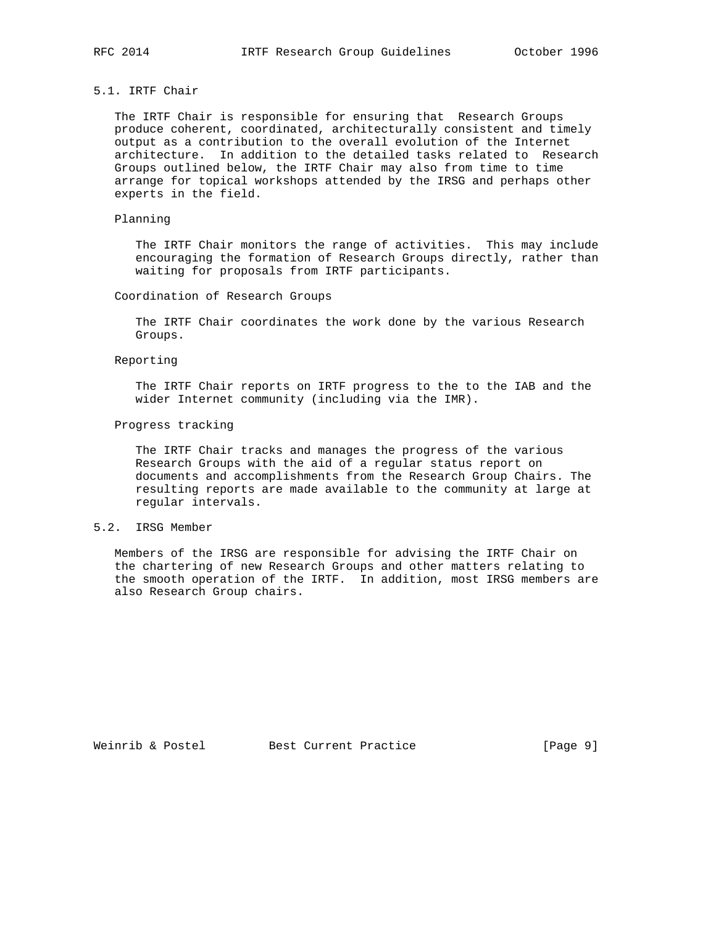# 5.1. IRTF Chair

 The IRTF Chair is responsible for ensuring that Research Groups produce coherent, coordinated, architecturally consistent and timely output as a contribution to the overall evolution of the Internet architecture. In addition to the detailed tasks related to Research Groups outlined below, the IRTF Chair may also from time to time arrange for topical workshops attended by the IRSG and perhaps other experts in the field.

# Planning

 The IRTF Chair monitors the range of activities. This may include encouraging the formation of Research Groups directly, rather than waiting for proposals from IRTF participants.

# Coordination of Research Groups

 The IRTF Chair coordinates the work done by the various Research Groups.

# Reporting

 The IRTF Chair reports on IRTF progress to the to the IAB and the wider Internet community (including via the IMR).

### Progress tracking

 The IRTF Chair tracks and manages the progress of the various Research Groups with the aid of a regular status report on documents and accomplishments from the Research Group Chairs. The resulting reports are made available to the community at large at regular intervals.

# 5.2. IRSG Member

 Members of the IRSG are responsible for advising the IRTF Chair on the chartering of new Research Groups and other matters relating to the smooth operation of the IRTF. In addition, most IRSG members are also Research Group chairs.

Weinrib & Postel Best Current Practice [Page 9]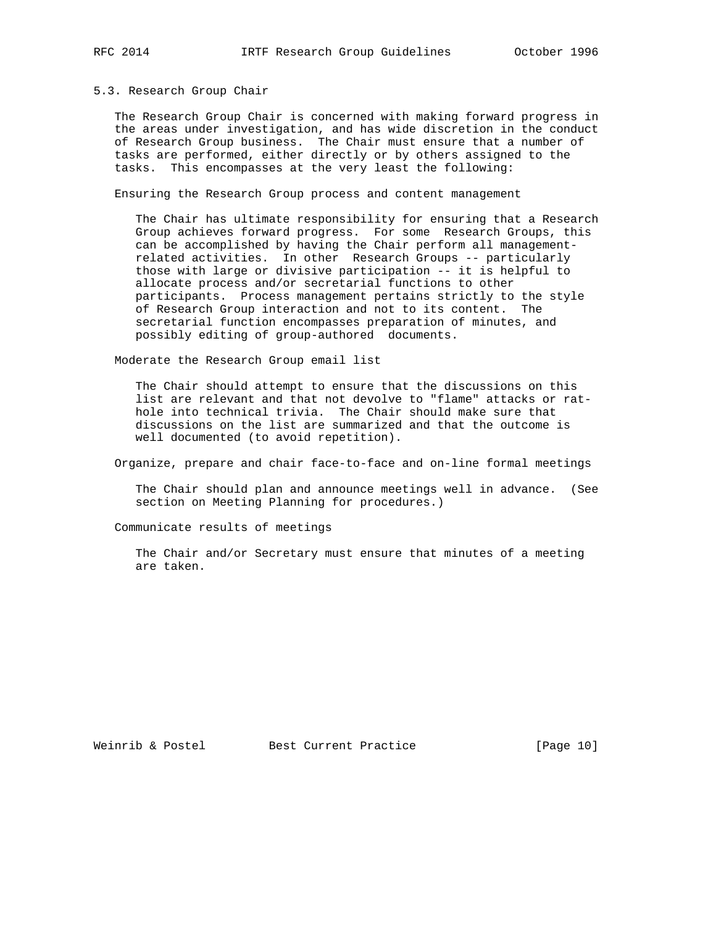### 5.3. Research Group Chair

 The Research Group Chair is concerned with making forward progress in the areas under investigation, and has wide discretion in the conduct of Research Group business. The Chair must ensure that a number of tasks are performed, either directly or by others assigned to the tasks. This encompasses at the very least the following:

Ensuring the Research Group process and content management

 The Chair has ultimate responsibility for ensuring that a Research Group achieves forward progress. For some Research Groups, this can be accomplished by having the Chair perform all management related activities. In other Research Groups -- particularly those with large or divisive participation -- it is helpful to allocate process and/or secretarial functions to other participants. Process management pertains strictly to the style of Research Group interaction and not to its content. The secretarial function encompasses preparation of minutes, and possibly editing of group-authored documents.

Moderate the Research Group email list

 The Chair should attempt to ensure that the discussions on this list are relevant and that not devolve to "flame" attacks or rat hole into technical trivia. The Chair should make sure that discussions on the list are summarized and that the outcome is well documented (to avoid repetition).

Organize, prepare and chair face-to-face and on-line formal meetings

 The Chair should plan and announce meetings well in advance. (See section on Meeting Planning for procedures.)

Communicate results of meetings

 The Chair and/or Secretary must ensure that minutes of a meeting are taken.

Weinrib & Postel Best Current Practice [Page 10]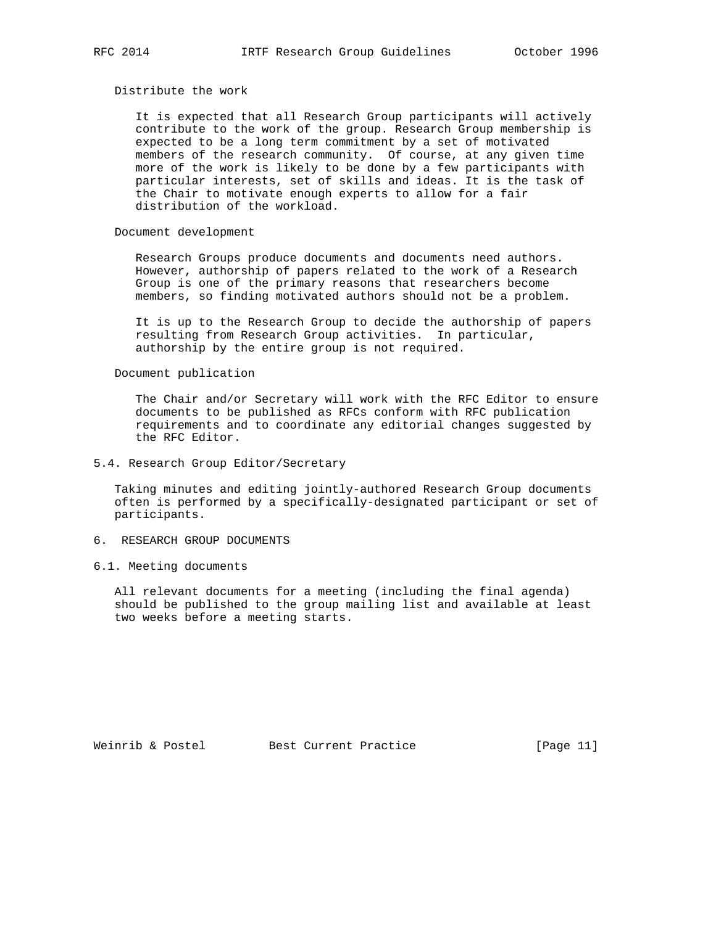# Distribute the work

 It is expected that all Research Group participants will actively contribute to the work of the group. Research Group membership is expected to be a long term commitment by a set of motivated members of the research community. Of course, at any given time more of the work is likely to be done by a few participants with particular interests, set of skills and ideas. It is the task of the Chair to motivate enough experts to allow for a fair distribution of the workload.

# Document development

 Research Groups produce documents and documents need authors. However, authorship of papers related to the work of a Research Group is one of the primary reasons that researchers become members, so finding motivated authors should not be a problem.

 It is up to the Research Group to decide the authorship of papers resulting from Research Group activities. In particular, authorship by the entire group is not required.

Document publication

 The Chair and/or Secretary will work with the RFC Editor to ensure documents to be published as RFCs conform with RFC publication requirements and to coordinate any editorial changes suggested by the RFC Editor.

## 5.4. Research Group Editor/Secretary

 Taking minutes and editing jointly-authored Research Group documents often is performed by a specifically-designated participant or set of participants.

# 6. RESEARCH GROUP DOCUMENTS

### 6.1. Meeting documents

 All relevant documents for a meeting (including the final agenda) should be published to the group mailing list and available at least two weeks before a meeting starts.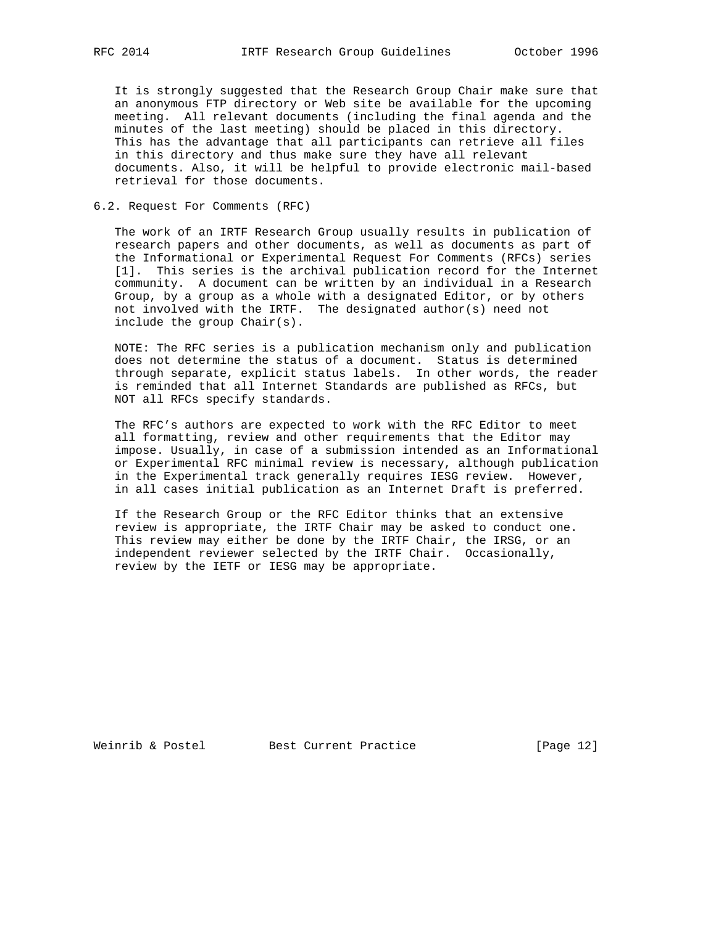It is strongly suggested that the Research Group Chair make sure that an anonymous FTP directory or Web site be available for the upcoming meeting. All relevant documents (including the final agenda and the minutes of the last meeting) should be placed in this directory. This has the advantage that all participants can retrieve all files in this directory and thus make sure they have all relevant documents. Also, it will be helpful to provide electronic mail-based retrieval for those documents.

# 6.2. Request For Comments (RFC)

 The work of an IRTF Research Group usually results in publication of research papers and other documents, as well as documents as part of the Informational or Experimental Request For Comments (RFCs) series [1]. This series is the archival publication record for the Internet community. A document can be written by an individual in a Research Group, by a group as a whole with a designated Editor, or by others not involved with the IRTF. The designated author(s) need not include the group Chair(s).

 NOTE: The RFC series is a publication mechanism only and publication does not determine the status of a document. Status is determined through separate, explicit status labels. In other words, the reader is reminded that all Internet Standards are published as RFCs, but NOT all RFCs specify standards.

 The RFC's authors are expected to work with the RFC Editor to meet all formatting, review and other requirements that the Editor may impose. Usually, in case of a submission intended as an Informational or Experimental RFC minimal review is necessary, although publication in the Experimental track generally requires IESG review. However, in all cases initial publication as an Internet Draft is preferred.

 If the Research Group or the RFC Editor thinks that an extensive review is appropriate, the IRTF Chair may be asked to conduct one. This review may either be done by the IRTF Chair, the IRSG, or an independent reviewer selected by the IRTF Chair. Occasionally, review by the IETF or IESG may be appropriate.

Weinrib & Postel Best Current Practice [Page 12]